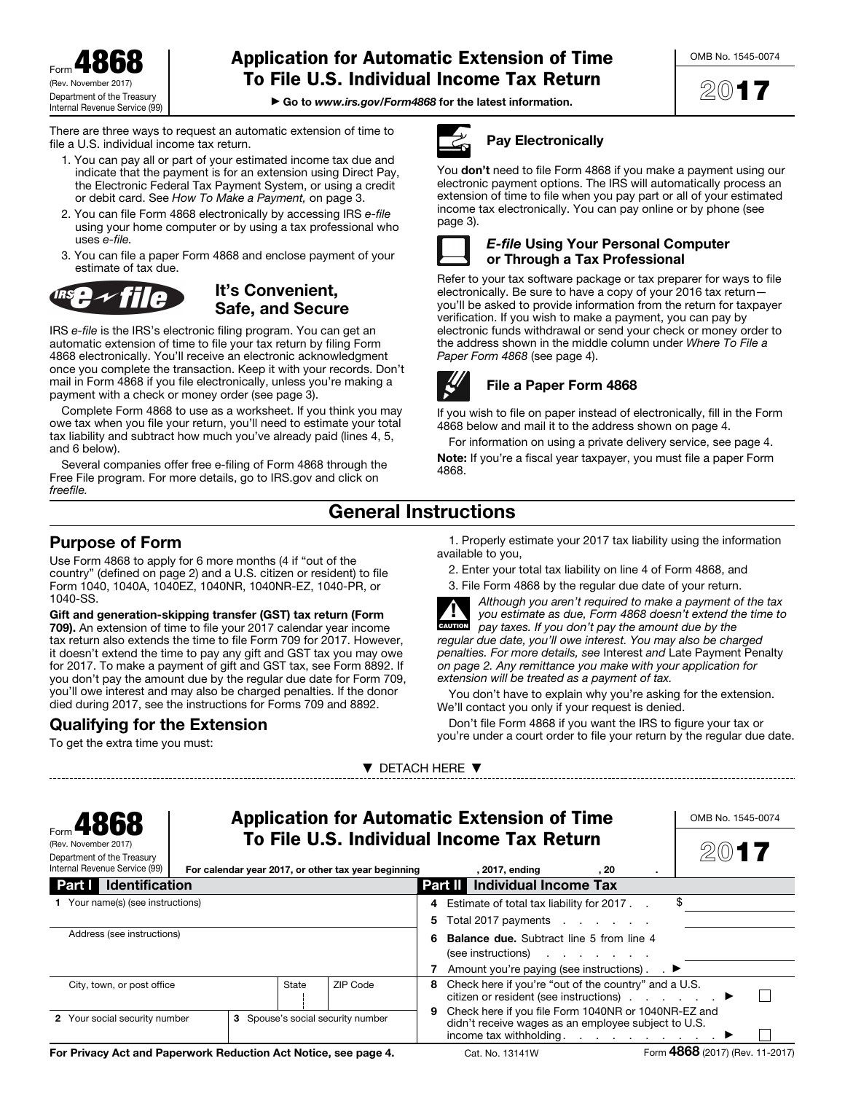Form 4868 (Rev. November Department of the Treasury Internal Revenue Service (99)

# Application for Automatic Extension of Time To File U.S. Individual Income Tax Return

▶ Go to *www.irs.gov/Form4868* for the latest information.

There are three ways to request an automatic extension of time to file a U.S. individual income tax return.

- 1. You can pay all or part of your estimated income tax due and indicate that the payment is for an extension using Direct Pay, the Electronic Federal Tax Payment System, or using a credit or debit card. See *How To Make a Payment,* on page 3.
- 2. You can file Form 4868 electronically by accessing IRS *e-file*  using your home computer or by using a tax professional who uses *e-file.*
- 3. You can file a paper Form 4868 and enclose payment of your estimate of tax due.



## It's Convenient, Safe, and Secure

IRS *e-file* is the IRS's electronic filing program. You can get an automatic extension of time to file your tax return by filing Form 4868 electronically. You'll receive an electronic acknowledgment once you complete the transaction. Keep it with your records. Don't mail in Form 4868 if you file electronically, unless you're making a payment with a check or money order (see page 3).

Complete Form 4868 to use as a worksheet. If you think you may owe tax when you file your return, you'll need to estimate your total tax liability and subtract how much you've already paid (lines 4, 5, and 6 below).

Several companies offer free e-filing of Form 4868 through the Free File program. For more details, go to IRS.gov and click on *freefile.* 



### Pay Electronically

You don't need to file Form 4868 if you make a payment using our electronic payment options. The IRS will automatically process an extension of time to file when you pay part or all of your estimated income tax electronically. You can pay online or by phone (see page 3).



### *E-file* Using Your Personal Computer or Through a Tax Professional

Refer to your tax software package or tax preparer for ways to file electronically. Be sure to have a copy of your 2016 tax return you'll be asked to provide information from the return for taxpayer verification. If you wish to make a payment, you can pay by electronic funds withdrawal or send your check or money order to the address shown in the middle column under *Where To File a Paper Form 4868* (see page 4).



## File a Paper Form 4868

If you wish to file on paper instead of electronically, fill in the Form 4868 below and mail it to the address shown on page 4.

For information on using a private delivery service, see page 4. Note: If you're a fiscal year taxpayer, you must file a paper Form 4868.

# General Instructions

## Purpose of Form

Use Form 4868 to apply for 6 more months (4 if "out of the country" (defined on page 2) and a U.S. citizen or resident) to file Form 1040, 1040A, 1040EZ, 1040NR, 1040NR-EZ, 1040-PR, or 1040-SS.

Gift and generation-skipping transfer (GST) tax return (Form 709). An extension of time to file your 2017 calendar year income tax return also extends the time to file Form 709 for 2017. However, it doesn't extend the time to pay any gift and GST tax you may owe for 2017. To make a payment of gift and GST tax, see Form 8892. If you don't pay the amount due by the regular due date for Form 709, you'll owe interest and may also be charged penalties. If the donor died during 2017, see the instructions for Forms 709 and 8892.

## Qualifying for the Extension

To get the extra time you must:

1. Properly estimate your 2017 tax liability using the information available to you,

2. Enter your total tax liability on line 4 of Form 4868, and





*Although you aren't required to make a payment of the tax you estimate as due, Form 4868 doesn't extend the time to pay taxes. If you don't pay the amount due by the regular due date, you'll owe interest. You may also be charged penalties. For more details, see* Interest *and* Late Payment Penalty *on page 2. Any remittance you make with your application for extension will be treated as a payment of tax.* 

You don't have to explain why you're asking for the extension. We'll contact you only if your request is denied.

Don't file Form 4868 if you want the IRS to figure your tax or you're under a court order to file your return by the regular due date.

| <b>Application for Automatic Extension of Time</b><br>Form <b>4868</b><br>To File U.S. Individual Income Tax Return<br>(Rev. November 2017)<br>Department of the Treasury<br>Internal Revenue Service (99)<br>For calendar year 2017, or other tax year beginning |                                   |  |   |                                                                                                                                                                           |                                                                                                                  |      |  | OMB No. 1545-0074              |  |  |
|-------------------------------------------------------------------------------------------------------------------------------------------------------------------------------------------------------------------------------------------------------------------|-----------------------------------|--|---|---------------------------------------------------------------------------------------------------------------------------------------------------------------------------|------------------------------------------------------------------------------------------------------------------|------|--|--------------------------------|--|--|
|                                                                                                                                                                                                                                                                   |                                   |  |   |                                                                                                                                                                           | , 2017, ending                                                                                                   | . 20 |  |                                |  |  |
| <b>Identification</b><br>Part I                                                                                                                                                                                                                                   |                                   |  |   |                                                                                                                                                                           | <b>Individual Income Tax</b><br><b>Part II</b>                                                                   |      |  |                                |  |  |
| 1 Your name(s) (see instructions)                                                                                                                                                                                                                                 |                                   |  |   | 4<br>5                                                                                                                                                                    | Estimate of total tax liability for 2017.<br>Total 2017 payments                                                 |      |  |                                |  |  |
| Address (see instructions)                                                                                                                                                                                                                                        |                                   |  |   |                                                                                                                                                                           | <b>Balance due.</b> Subtract line 5 from line 4<br>(see instructions)                                            |      |  |                                |  |  |
|                                                                                                                                                                                                                                                                   |                                   |  |   |                                                                                                                                                                           | Amount you're paying (see instructions). $\blacktriangleright$                                                   |      |  |                                |  |  |
| ZIP Code<br>State<br>City, town, or post office                                                                                                                                                                                                                   |                                   |  |   | 8                                                                                                                                                                         | Check here if you're "out of the country" and a U.S.<br>citizen or resident (see instructions) $\ldots$ $\ldots$ |      |  |                                |  |  |
| 2 Your social security number                                                                                                                                                                                                                                     | 3 Spouse's social security number |  | 9 | Check here if you file Form 1040NR or 1040NR-EZ and<br>didn't receive wages as an employee subject to U.S.<br>income tax withholding. $\ldots$ $\ldots$ $\ldots$ $\ldots$ |                                                                                                                  |      |  |                                |  |  |
| For Privacy Act and Paperwork Reduction Act Notice, see page 4.                                                                                                                                                                                                   |                                   |  |   |                                                                                                                                                                           | Cat. No. 13141W                                                                                                  |      |  | Form 4868 (2017) (Rev. 11-2017 |  |  |

▼ DETACH HERE ▼

2017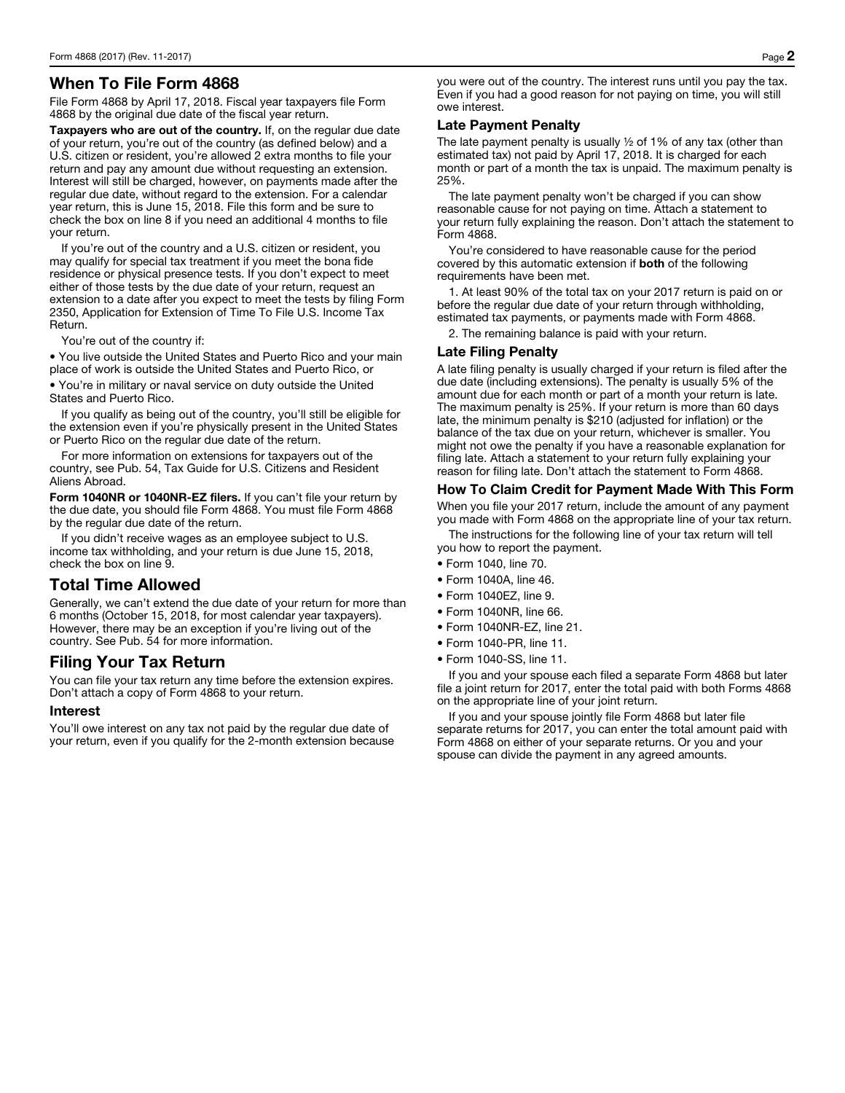## When To File Form 4868

File Form 4868 by April 17, 2018. Fiscal year taxpayers file Form 4868 by the original due date of the fiscal year return.

Taxpayers who are out of the country. If, on the regular due date of your return, you're out of the country (as defined below) and a U.S. citizen or resident, you're allowed 2 extra months to file your return and pay any amount due without requesting an extension. Interest will still be charged, however, on payments made after the regular due date, without regard to the extension. For a calendar year return, this is June 15, 2018. File this form and be sure to check the box on line 8 if you need an additional 4 months to file your return.

If you're out of the country and a U.S. citizen or resident, you may qualify for special tax treatment if you meet the bona fide residence or physical presence tests. If you don't expect to meet either of those tests by the due date of your return, request an extension to a date after you expect to meet the tests by filing Form 2350, Application for Extension of Time To File U.S. Income Tax Return.

You're out of the country if:

• You live outside the United States and Puerto Rico and your main place of work is outside the United States and Puerto Rico, or

• You're in military or naval service on duty outside the United States and Puerto Rico.

If you qualify as being out of the country, you'll still be eligible for the extension even if you're physically present in the United States or Puerto Rico on the regular due date of the return.

For more information on extensions for taxpayers out of the country, see Pub. 54, Tax Guide for U.S. Citizens and Resident Aliens Abroad.

Form 1040NR or 1040NR-EZ filers. If you can't file your return by the due date, you should file Form 4868. You must file Form 4868 by the regular due date of the return.

If you didn't receive wages as an employee subject to U.S. income tax withholding, and your return is due June 15, 2018, check the box on line 9.

## Total Time Allowed

Generally, we can't extend the due date of your return for more than 6 months (October 15, 2018, for most calendar year taxpayers). However, there may be an exception if you're living out of the country. See Pub. 54 for more information.

## Filing Your Tax Return

You can file your tax return any time before the extension expires. Don't attach a copy of Form 4868 to your return.

### Interest

You'll owe interest on any tax not paid by the regular due date of your return, even if you qualify for the 2-month extension because

you were out of the country. The interest runs until you pay the tax. Even if you had a good reason for not paying on time, you will still owe interest.

### Late Payment Penalty

The late payment penalty is usually  $\frac{1}{2}$  of 1% of any tax (other than estimated tax) not paid by April 17, 2018. It is charged for each month or part of a month the tax is unpaid. The maximum penalty is 25%.

The late payment penalty won't be charged if you can show reasonable cause for not paying on time. Attach a statement to your return fully explaining the reason. Don't attach the statement to Form 4868.

You're considered to have reasonable cause for the period covered by this automatic extension if both of the following requirements have been met.

1. At least 90% of the total tax on your 2017 return is paid on or before the regular due date of your return through withholding, estimated tax payments, or payments made with Form 4868.

2. The remaining balance is paid with your return.

### Late Filing Penalty

A late filing penalty is usually charged if your return is filed after the due date (including extensions). The penalty is usually 5% of the amount due for each month or part of a month your return is late. The maximum penalty is 25%. If your return is more than 60 days late, the minimum penalty is \$210 (adjusted for inflation) or the balance of the tax due on your return, whichever is smaller. You might not owe the penalty if you have a reasonable explanation for filing late. Attach a statement to your return fully explaining your reason for filing late. Don't attach the statement to Form 4868.

### How To Claim Credit for Payment Made With This Form

When you file your 2017 return, include the amount of any payment you made with Form 4868 on the appropriate line of your tax return.

The instructions for the following line of your tax return will tell you how to report the payment.

- Form 1040, line 70.
- Form 1040A, line 46.
- Form 1040EZ, line 9.
- Form 1040NR, line 66.
- Form 1040NR-EZ, line 21.
- Form 1040-PR, line 11.
- Form 1040-SS, line 11.

If you and your spouse each filed a separate Form 4868 but later file a joint return for 2017, enter the total paid with both Forms 4868 on the appropriate line of your joint return.

If you and your spouse jointly file Form 4868 but later file separate returns for 2017, you can enter the total amount paid with Form 4868 on either of your separate returns. Or you and your spouse can divide the payment in any agreed amounts.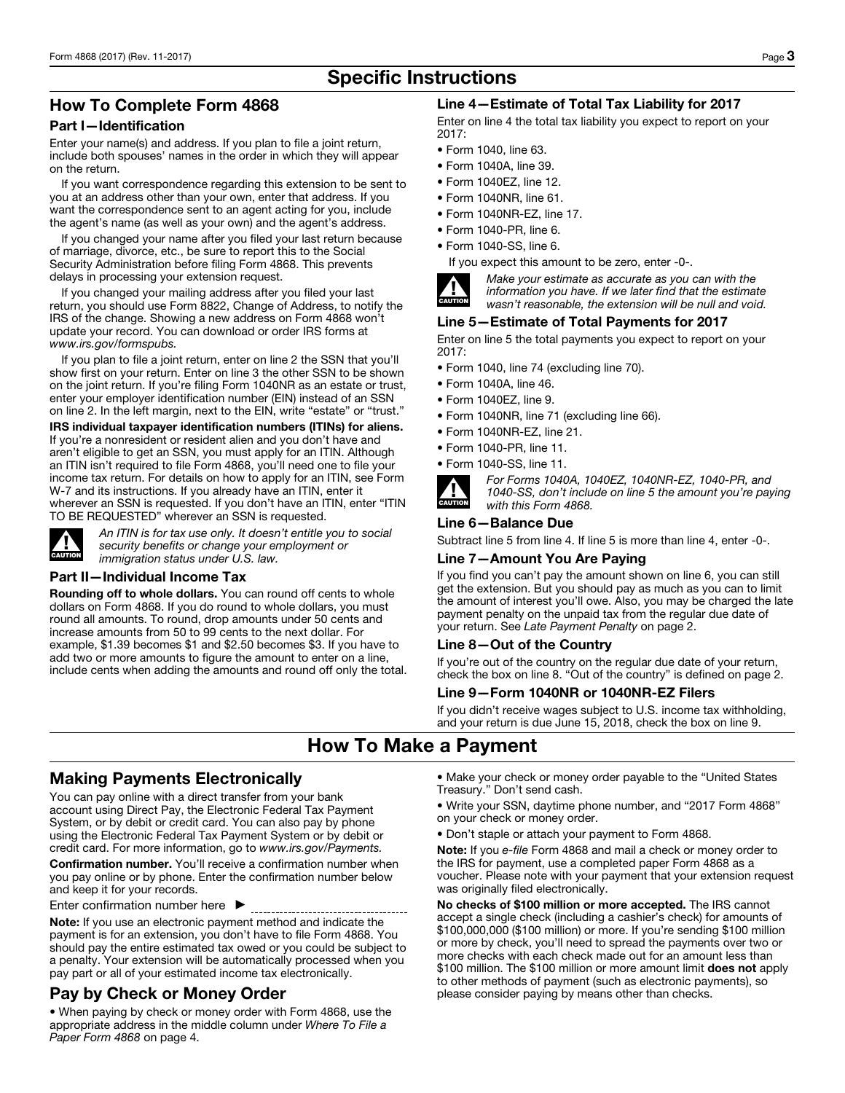# Specific Instructions

## How To Complete Form 4868

### Part I—Identification

Enter your name(s) and address. If you plan to file a joint return, include both spouses' names in the order in which they will appear on the return.

If you want correspondence regarding this extension to be sent to you at an address other than your own, enter that address. If you want the correspondence sent to an agent acting for you, include the agent's name (as well as your own) and the agent's address.

If you changed your name after you filed your last return because of marriage, divorce, etc., be sure to report this to the Social Security Administration before filing Form 4868. This prevents delays in processing your extension request.

If you changed your mailing address after you filed your last return, you should use Form 8822, Change of Address, to notify the IRS of the change. Showing a new address on Form 4868 won't update your record. You can download or order IRS forms at *www.irs.gov/formspubs.*

If you plan to file a joint return, enter on line 2 the SSN that you'll show first on your return. Enter on line 3 the other SSN to be shown on the joint return. If you're filing Form 1040NR as an estate or trust, enter your employer identification number (EIN) instead of an SSN on line 2. In the left margin, next to the EIN, write "estate" or "trust."

IRS individual taxpayer identification numbers (ITINs) for aliens. If you're a nonresident or resident alien and you don't have and aren't eligible to get an SSN, you must apply for an ITIN. Although an ITIN isn't required to file Form 4868, you'll need one to file your income tax return. For details on how to apply for an ITIN, see Form W-7 and its instructions. If you already have an ITIN, enter it wherever an SSN is requested. If you don't have an ITIN, enter "ITIN TO BE REQUESTED" wherever an SSN is requested.



*An ITIN is for tax use only. It doesn't entitle you to social security benefits or change your employment or immigration status under U.S. law.* 

#### Part II—Individual Income Tax

Rounding off to whole dollars. You can round off cents to whole dollars on Form 4868. If you do round to whole dollars, you must round all amounts. To round, drop amounts under 50 cents and increase amounts from 50 to 99 cents to the next dollar. For example, \$1.39 becomes \$1 and \$2.50 becomes \$3. If you have to add two or more amounts to figure the amount to enter on a line, include cents when adding the amounts and round off only the total.

### Line 4—Estimate of Total Tax Liability for 2017

Enter on line 4 the total tax liability you expect to report on your 2017:

- Form 1040, line 63.
- Form 1040A, line 39.
- Form 1040EZ, line 12.
- Form 1040NR, line 61.
- Form 1040NR-EZ, line 17.
- Form 1040-PR, line 6.
- Form 1040-SS, line 6.

If you expect this amount to be zero, enter -0-.



*Make your estimate as accurate as you can with the information you have. If we later find that the estimate wasn't reasonable, the extension will be null and void.* 

### Line 5—Estimate of Total Payments for 2017

Enter on line 5 the total payments you expect to report on your 2017:

- Form 1040, line 74 (excluding line 70).
- Form 1040A, line 46.
- Form 1040EZ, line 9.
- Form 1040NR, line 71 (excluding line 66).
- Form 1040NR-EZ, line 21.
- Form 1040-PR, line 11.
- Form 1040-SS, line 11.



*For Forms 1040A, 1040EZ, 1040NR-EZ, 1040-PR, and 1040-SS, don't include on line 5 the amount you're paying with this Form 4868.* 

#### Line 6—Balance Due

Subtract line 5 from line 4. If line 5 is more than line 4, enter -0-.

### Line 7—Amount You Are Paying

If you find you can't pay the amount shown on line 6, you can still get the extension. But you should pay as much as you can to limit the amount of interest you'll owe. Also, you may be charged the late payment penalty on the unpaid tax from the regular due date of your return. See *Late Payment Penalty* on page 2.

#### Line 8—Out of the Country

If you're out of the country on the regular due date of your return, check the box on line 8. "Out of the country" is defined on page 2.

### Line 9—Form 1040NR or 1040NR-EZ Filers

If you didn't receive wages subject to U.S. income tax withholding, and your return is due June 15, 2018, check the box on line 9.

## How To Make a Payment

## Making Payments Electronically

You can pay online with a direct transfer from your bank account using Direct Pay, the Electronic Federal Tax Payment System, or by debit or credit card. You can also pay by phone using the Electronic Federal Tax Payment System or by debit or credit card. For more information, go to *www.irs.gov/Payments.*

Confirmation number. You'll receive a confirmation number when you pay online or by phone. Enter the confirmation number below and keep it for your records.

Enter confirmation number here ▶

Note: If you use an electronic payment method and indicate the payment is for an extension, you don't have to file Form 4868. You should pay the entire estimated tax owed or you could be subject to a penalty. Your extension will be automatically processed when you pay part or all of your estimated income tax electronically.

## Pay by Check or Money Order

• When paying by check or money order with Form 4868, use the appropriate address in the middle column under *Where To File a Paper Form 4868* on page 4.

- Make your check or money order payable to the "United States Treasury." Don't send cash.
- Write your SSN, daytime phone number, and "2017 Form 4868" on your check or money order.
- Don't staple or attach your payment to Form 4868.

Note: If you *e-file* Form 4868 and mail a check or money order to the IRS for payment, use a completed paper Form 4868 as a voucher. Please note with your payment that your extension request was originally filed electronically.

No checks of \$100 million or more accepted. The IRS cannot accept a single check (including a cashier's check) for amounts of \$100,000,000 (\$100 million) or more. If you're sending \$100 million or more by check, you'll need to spread the payments over two or more checks with each check made out for an amount less than \$100 million. The \$100 million or more amount limit does not apply to other methods of payment (such as electronic payments), so please consider paying by means other than checks.